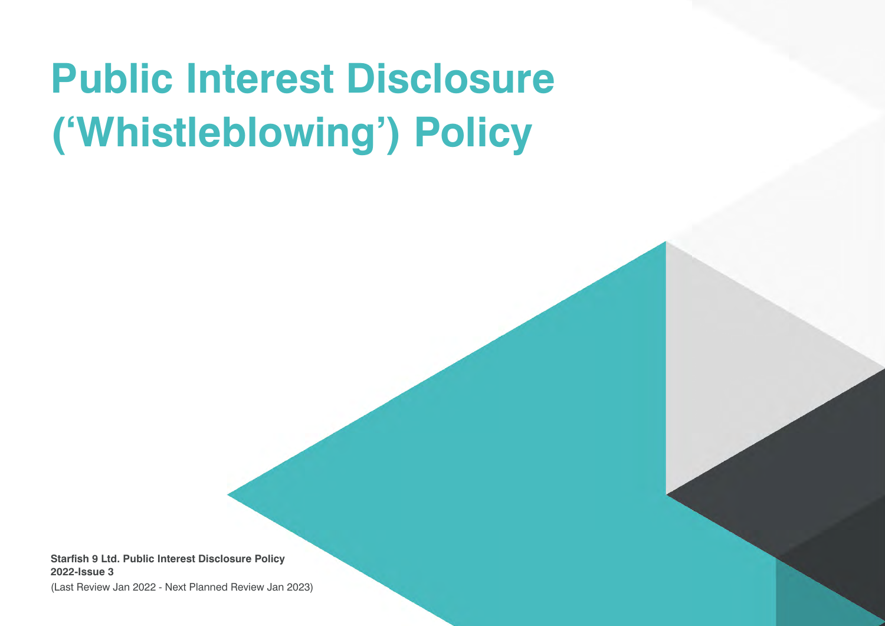# **Public Interest Disclosure ('Whistleblowing') Policy**

**Starfish 9 Ltd. Public Interest Disclosure Policy 2022-Issue 3**

(Last Review Jan 2022 - Next Planned Review Jan 2023)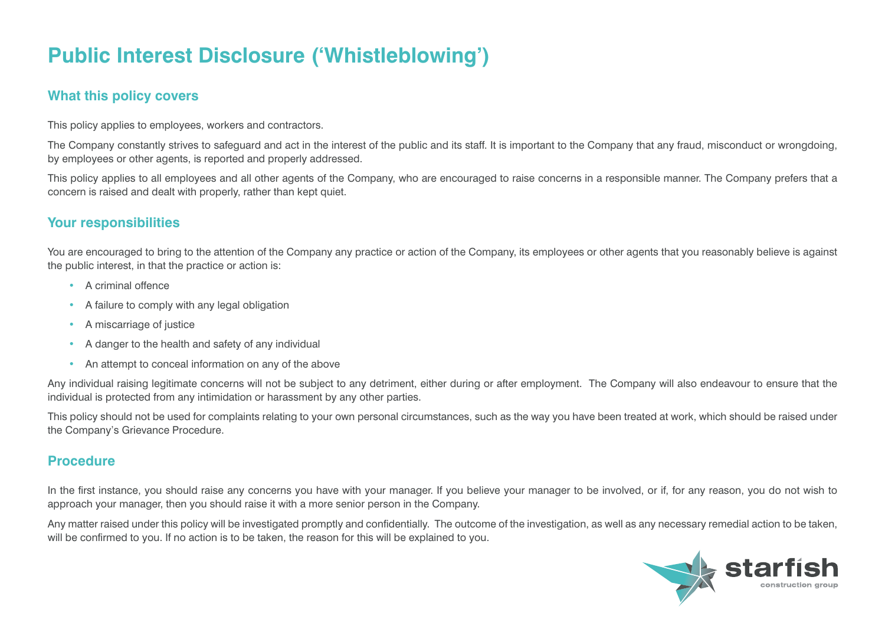# **Public Interest Disclosure ('Whistleblowing')**

## **What this policy covers**

This policy applies to employees, workers and contractors.

The Company constantly strives to safeguard and act in the interest of the public and its staff. It is important to the Company that any fraud, misconduct or wrongdoing, by employees or other agents, is reported and properly addressed.

This policy applies to all employees and all other agents of the Company, who are encouraged to raise concerns in a responsible manner. The Company prefers that a concern is raised and dealt with properly, rather than kept quiet.

### **Your responsibilities**

You are encouraged to bring to the attention of the Company any practice or action of the Company, its employees or other agents that you reasonably believe is against the public interest, in that the practice or action is:

- A criminal offence
- A failure to comply with any legal obligation
- A miscarriage of justice
- A danger to the health and safety of any individual
- An attempt to conceal information on any of the above

Any individual raising legitimate concerns will not be subject to any detriment, either during or after employment. The Company will also endeavour to ensure that the individual is protected from any intimidation or harassment by any other parties.

This policy should not be used for complaints relating to your own personal circumstances, such as the way you have been treated at work, which should be raised under the Company's Grievance Procedure.

#### **Procedure**

In the first instance, you should raise any concerns you have with your manager. If you believe your manager to be involved, or if, for any reason, you do not wish to approach your manager, then you should raise it with a more senior person in the Company.

Any matter raised under this policy will be investigated promptly and confidentially. The outcome of the investigation, as well as any necessary remedial action to be taken, will be confirmed to you. If no action is to be taken, the reason for this will be explained to you.